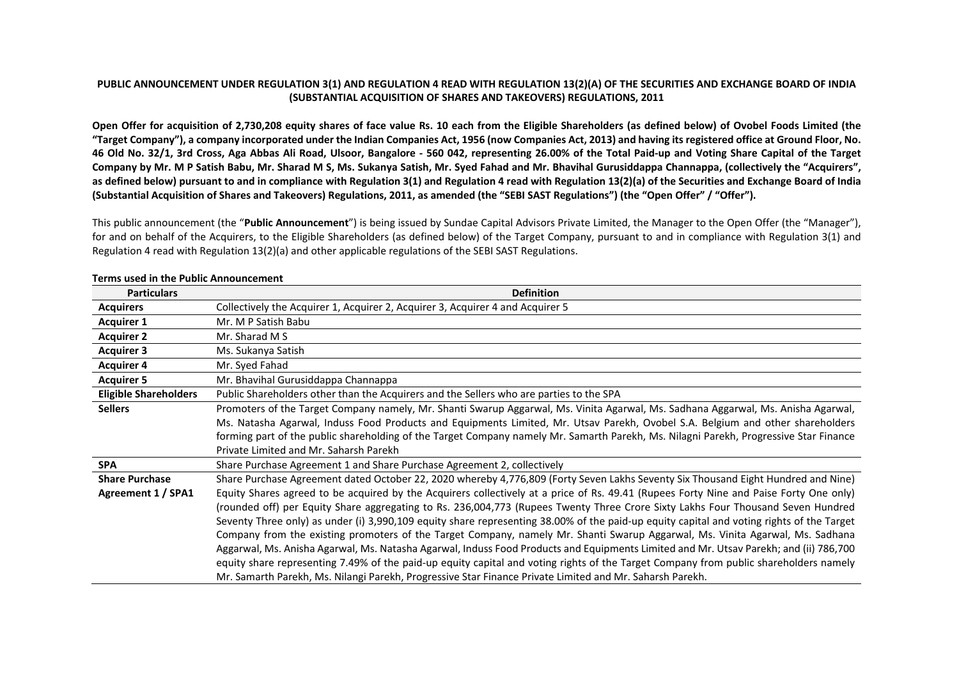## **PUBLIC ANNOUNCEMENT UNDER REGULATION 3(1) AND REGULATION 4 READ WITH REGULATION 13(2)(A) OF THE SECURITIES AND EXCHANGE BOARD OF INDIA (SUBSTANTIAL ACQUISITION OF SHARES AND TAKEOVERS) REGULATIONS, 2011**

**Open Offer for acquisition of 2,730,208 equity shares of face value Rs. 10 each from the Eligible Shareholders (as defined below) of Ovobel Foods Limited (the "Target Company"), a company incorporated under the Indian Companies Act, 1956 (now Companies Act, 2013) and having its registered office at Ground Floor, No. 46 Old No. 32/1, 3rd Cross, Aga Abbas Ali Road, Ulsoor, Bangalore - 560 042, representing 26.00% of the Total Paid-up and Voting Share Capital of the Target Company by Mr. M P Satish Babu, Mr. Sharad M S, Ms. Sukanya Satish, Mr. Syed Fahad and Mr. Bhavihal Gurusiddappa Channappa, (collectively the "Acquirers", as defined below) pursuant to and in compliance with Regulation 3(1) and Regulation 4 read with Regulation 13(2)(a) of the Securities and Exchange Board of India (Substantial Acquisition of Shares and Takeovers) Regulations, 2011, as amended (the "SEBI SAST Regulations") (the "Open Offer" / "Offer").** 

This public announcement (the "**Public Announcement**") is being issued by Sundae Capital Advisors Private Limited, the Manager to the Open Offer (the "Manager"), for and on behalf of the Acquirers, to the Eligible Shareholders (as defined below) of the Target Company, pursuant to and in compliance with Regulation 3(1) and Regulation 4 read with Regulation 13(2)(a) and other applicable regulations of the SEBI SAST Regulations.

| <b>Particulars</b>           | <b>Definition</b>                                                                                                                         |
|------------------------------|-------------------------------------------------------------------------------------------------------------------------------------------|
| <b>Acquirers</b>             | Collectively the Acquirer 1, Acquirer 2, Acquirer 3, Acquirer 4 and Acquirer 5                                                            |
| <b>Acquirer 1</b>            | Mr. M P Satish Babu                                                                                                                       |
| <b>Acquirer 2</b>            | Mr. Sharad M S                                                                                                                            |
| <b>Acquirer 3</b>            | Ms. Sukanya Satish                                                                                                                        |
| <b>Acquirer 4</b>            | Mr. Syed Fahad                                                                                                                            |
| <b>Acquirer 5</b>            | Mr. Bhavihal Gurusiddappa Channappa                                                                                                       |
| <b>Eligible Shareholders</b> | Public Shareholders other than the Acquirers and the Sellers who are parties to the SPA                                                   |
| <b>Sellers</b>               | Promoters of the Target Company namely, Mr. Shanti Swarup Aggarwal, Ms. Vinita Agarwal, Ms. Sadhana Aggarwal, Ms. Anisha Agarwal,         |
|                              | Ms. Natasha Agarwal, Induss Food Products and Equipments Limited, Mr. Utsav Parekh, Ovobel S.A. Belgium and other shareholders            |
|                              | forming part of the public shareholding of the Target Company namely Mr. Samarth Parekh, Ms. Nilagni Parekh, Progressive Star Finance     |
|                              | Private Limited and Mr. Saharsh Parekh                                                                                                    |
| <b>SPA</b>                   | Share Purchase Agreement 1 and Share Purchase Agreement 2, collectively                                                                   |
| <b>Share Purchase</b>        | Share Purchase Agreement dated October 22, 2020 whereby 4,776,809 (Forty Seven Lakhs Seventy Six Thousand Eight Hundred and Nine)         |
| Agreement 1 / SPA1           | Equity Shares agreed to be acquired by the Acquirers collectively at a price of Rs. 49.41 (Rupees Forty Nine and Paise Forty One only)    |
|                              | (rounded off) per Equity Share aggregating to Rs. 236,004,773 (Rupees Twenty Three Crore Sixty Lakhs Four Thousand Seven Hundred          |
|                              | Seventy Three only) as under (i) 3,990,109 equity share representing 38.00% of the paid-up equity capital and voting rights of the Target |
|                              | Company from the existing promoters of the Target Company, namely Mr. Shanti Swarup Aggarwal, Ms. Vinita Agarwal, Ms. Sadhana             |
|                              | Aggarwal, Ms. Anisha Agarwal, Ms. Natasha Agarwal, Induss Food Products and Equipments Limited and Mr. Utsav Parekh; and (ii) 786,700     |
|                              | equity share representing 7.49% of the paid-up equity capital and voting rights of the Target Company from public shareholders namely     |
|                              | Mr. Samarth Parekh, Ms. Nilangi Parekh, Progressive Star Finance Private Limited and Mr. Saharsh Parekh.                                  |

#### **Terms used in the Public Announcement**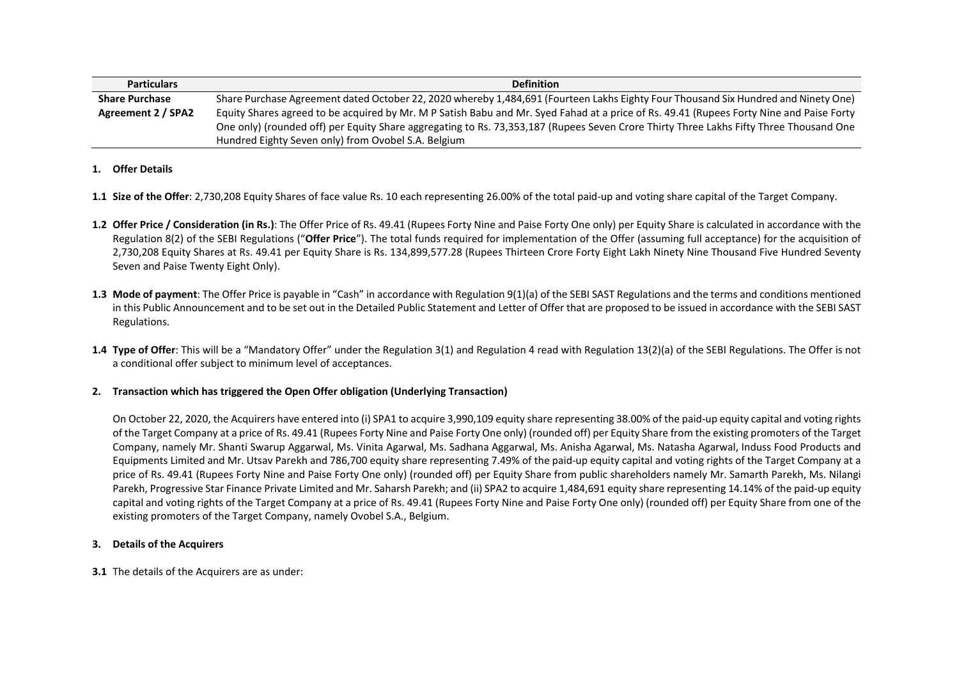| <b>Particulars</b>    | <b>Definition</b>                                                                                                                        |
|-----------------------|------------------------------------------------------------------------------------------------------------------------------------------|
| <b>Share Purchase</b> | Share Purchase Agreement dated October 22, 2020 whereby 1,484,691 (Fourteen Lakhs Eighty Four Thousand Six Hundred and Ninety One)       |
| Agreement 2 / SPA2    | Equity Shares agreed to be acquired by Mr. M P Satish Babu and Mr. Syed Fahad at a price of Rs. 49.41 (Rupees Forty Nine and Paise Forty |
|                       | One only) (rounded off) per Equity Share aggregating to Rs. 73,353,187 (Rupees Seven Crore Thirty Three Lakhs Fifty Three Thousand One   |
|                       | Hundred Eighty Seven only) from Ovobel S.A. Belgium                                                                                      |

### **1. Offer Details**

- **1.1 Size of the Offer**: 2,730,208 Equity Shares of face value Rs. 10 each representing 26.00% of the total paid-up and voting share capital of the Target Company.
- **1.2 Offer Price / Consideration (in Rs.)**: The Offer Price of Rs. 49.41 (Rupees Forty Nine and Paise Forty One only) per Equity Share is calculated in accordance with the Regulation 8(2) of the SEBI Regulations ("**Offer Price**"). The total funds required for implementation of the Offer (assuming full acceptance) for the acquisition of 2,730,208 Equity Shares at Rs. 49.41 per Equity Share is Rs. 134,899,577.28 (Rupees Thirteen Crore Forty Eight Lakh Ninety Nine Thousand Five Hundred Seventy Seven and Paise Twenty Eight Only).
- **1.3 Mode of payment**: The Offer Price is payable in "Cash" in accordance with Regulation 9(1)(a) of the SEBI SAST Regulations and the terms and conditions mentioned in this Public Announcement and to be set out in the Detailed Public Statement and Letter of Offer that are proposed to be issued in accordance with the SEBI SAST Regulations.
- **1.4 Type of Offer**: This will be a "Mandatory Offer" under the Regulation 3(1) and Regulation 4 read with Regulation 13(2)(a) of the SEBI Regulations. The Offer is not a conditional offer subject to minimum level of acceptances.

# **2. Transaction which has triggered the Open Offer obligation (Underlying Transaction)**

On October 22, 2020, the Acquirers have entered into (i) SPA1 to acquire 3,990,109 equity share representing 38.00% of the paid-up equity capital and voting rights of the Target Company at a price of Rs. 49.41 (Rupees Forty Nine and Paise Forty One only) (rounded off) per Equity Share from the existing promoters of the Target Company, namely Mr. Shanti Swarup Aggarwal, Ms. Vinita Agarwal, Ms. Sadhana Aggarwal, Ms. Anisha Agarwal, Ms. Natasha Agarwal, Induss Food Products and Equipments Limited and Mr. Utsav Parekh and 786,700 equity share representing 7.49% of the paid-up equity capital and voting rights of the Target Company at a price of Rs. 49.41 (Rupees Forty Nine and Paise Forty One only) (rounded off) per Equity Share from public shareholders namely Mr. Samarth Parekh, Ms. Nilangi Parekh, Progressive Star Finance Private Limited and Mr. Saharsh Parekh; and (ii) SPA2 to acquire 1,484,691 equity share representing 14.14% of the paid-up equity capital and voting rights of the Target Company at a price of Rs. 49.41 (Rupees Forty Nine and Paise Forty One only) (rounded off) per Equity Share from one of the existing promoters of the Target Company, namely Ovobel S.A., Belgium.

### **3. Details of the Acquirers**

**3.1** The details of the Acquirers are as under: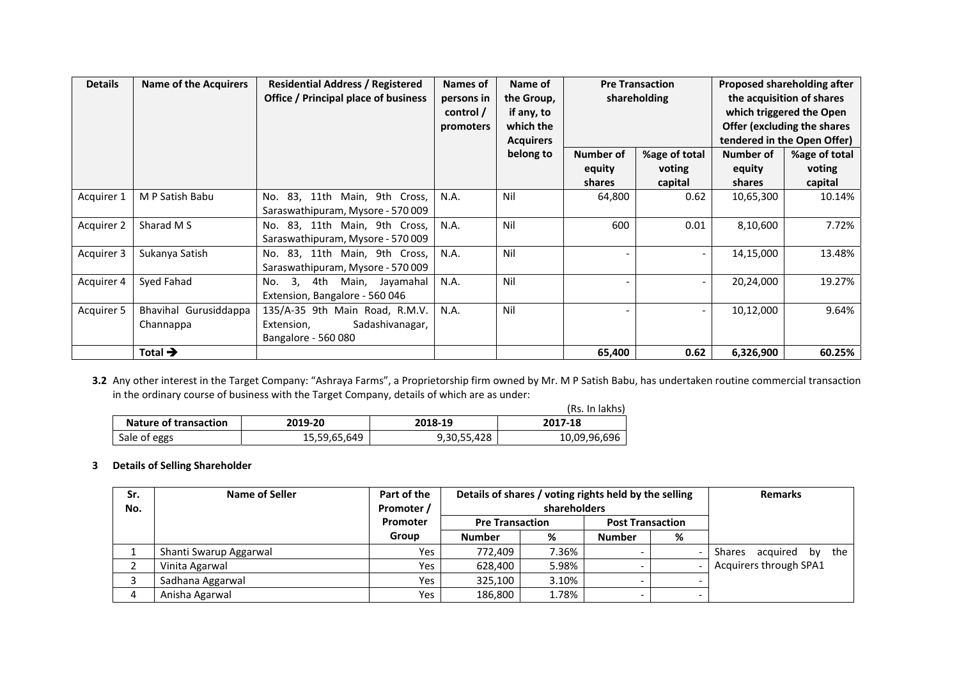| <b>Details</b> | <b>Name of the Acquirers</b>       | <b>Residential Address / Registered</b><br><b>Office / Principal place of business</b> | Names of<br>persons in<br>control /<br>promoters | Name of<br>the Group,<br>if any, to<br>which the<br><b>Acquirers</b> | <b>Pre Transaction</b><br>shareholding |                                    | Proposed shareholding after<br>the acquisition of shares<br>which triggered the Open<br>Offer (excluding the shares<br>tendered in the Open Offer) |                                    |
|----------------|------------------------------------|----------------------------------------------------------------------------------------|--------------------------------------------------|----------------------------------------------------------------------|----------------------------------------|------------------------------------|----------------------------------------------------------------------------------------------------------------------------------------------------|------------------------------------|
|                |                                    |                                                                                        |                                                  | belong to                                                            | Number of<br>equity<br>shares          | %age of total<br>voting<br>capital | Number of<br>equity<br>shares                                                                                                                      | %age of total<br>voting<br>capital |
| Acquirer 1     | M P Satish Babu                    | 83, 11th Main, 9th Cross,<br>No.<br>Saraswathipuram, Mysore - 570 009                  | N.A.                                             | Nil                                                                  | 64,800                                 | 0.62                               | 10,65,300                                                                                                                                          | 10.14%                             |
| Acquirer 2     | Sharad M S                         | No. 83, 11th Main, 9th Cross,<br>Saraswathipuram, Mysore - 570 009                     | N.A.                                             | Nil                                                                  | 600                                    | 0.01                               | 8,10,600                                                                                                                                           | 7.72%                              |
| Acquirer 3     | Sukanya Satish                     | 83, 11th Main, 9th Cross,<br>No.<br>Saraswathipuram, Mysore - 570 009                  | N.A.                                             | Nil                                                                  |                                        |                                    | 14,15,000                                                                                                                                          | 13.48%                             |
| Acquirer 4     | Syed Fahad                         | 3, 4th Main, Jayamahal<br>No.<br>Extension, Bangalore - 560 046                        | N.A.                                             | Nil                                                                  |                                        | $\overline{\phantom{a}}$           | 20,24,000                                                                                                                                          | 19.27%                             |
| Acquirer 5     | Bhavihal Gurusiddappa<br>Channappa | 135/A-35 9th Main Road, R.M.V.<br>Sadashivanagar,<br>Extension,<br>Bangalore - 560 080 | N.A.                                             | Nil                                                                  |                                        | $\overline{\phantom{a}}$           | 10,12,000                                                                                                                                          | 9.64%                              |
|                | Total $\rightarrow$                |                                                                                        |                                                  |                                                                      | 65,400                                 | 0.62                               | 6,326,900                                                                                                                                          | 60.25%                             |

**3.2** Any other interest in the Target Company: "Ashraya Farms", a Proprietorship firm owned by Mr. M P Satish Babu, has undertaken routine commercial transaction in the ordinary course of business with the Target Company, details of which are as under:

|                              |              |             | (Rs. In lakhs) |
|------------------------------|--------------|-------------|----------------|
| <b>Nature of transaction</b> | 2019-20      | 2018-19     | 2017-18        |
| Sale of eggs                 | 15,59,65,649 | 9,30,55,428 | 10,09,96,696   |

#### **3 Details of Selling Shareholder**

| Sr.<br>No. | Name of Seller         | Part of the<br>Promoter / | Details of shares / voting rights held by the selling<br>shareholders |       |                         | <b>Remarks</b> |                           |
|------------|------------------------|---------------------------|-----------------------------------------------------------------------|-------|-------------------------|----------------|---------------------------|
|            |                        | <b>Promoter</b>           | <b>Pre Transaction</b>                                                |       | <b>Post Transaction</b> |                |                           |
|            |                        | Group                     | <b>Number</b>                                                         | %     | <b>Number</b>           | %              |                           |
|            | Shanti Swarup Aggarwal | Yes                       | 772.409                                                               | 7.36% |                         |                | acquired by the<br>Shares |
|            | Vinita Agarwal         | Yes                       | 628.400                                                               | 5.98% |                         |                | Acquirers through SPA1    |
|            | Sadhana Aggarwal       | Yes                       | 325,100                                                               | 3.10% |                         |                |                           |
|            | Anisha Agarwal         | Yes                       | 186,800                                                               | 1.78% |                         |                |                           |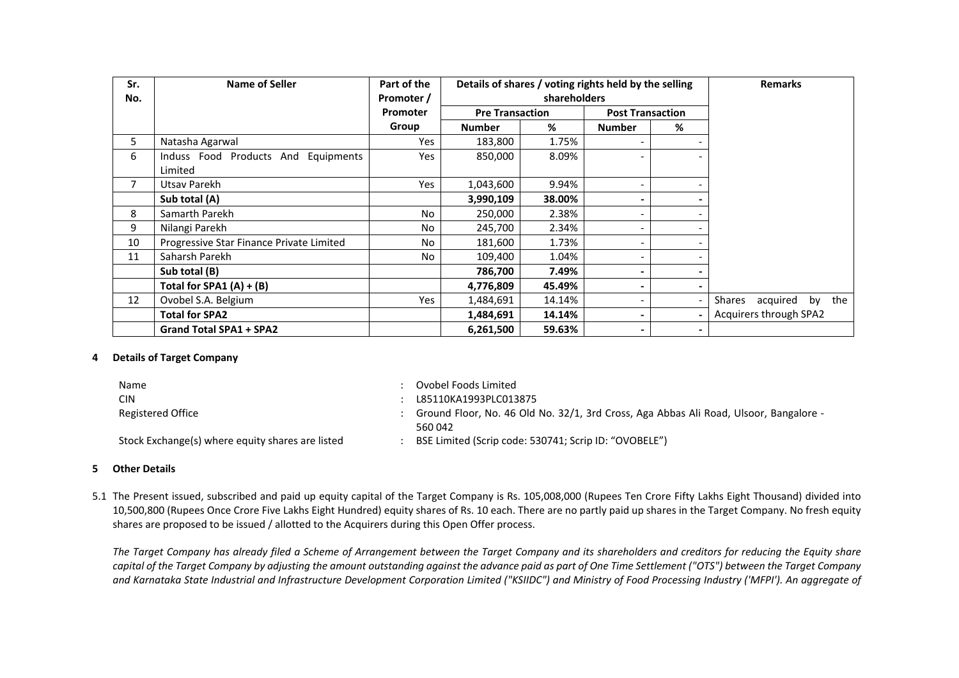| Sr.<br>No.     | <b>Name of Seller</b>                    | Part of the<br>Promoter / | Details of shares / voting rights held by the selling<br>shareholders |        |                              | <b>Remarks</b> |                                 |
|----------------|------------------------------------------|---------------------------|-----------------------------------------------------------------------|--------|------------------------------|----------------|---------------------------------|
|                |                                          | <b>Promoter</b>           | <b>Pre Transaction</b>                                                |        | <b>Post Transaction</b>      |                |                                 |
|                |                                          | Group                     | <b>Number</b>                                                         | %      | <b>Number</b>                | %              |                                 |
| 5.             | Natasha Agarwal                          | <b>Yes</b>                | 183,800                                                               | 1.75%  |                              |                |                                 |
| 6              | Induss Food Products And Equipments      | <b>Yes</b>                | 850,000                                                               | 8.09%  |                              |                |                                 |
|                | Limited                                  |                           |                                                                       |        |                              |                |                                 |
| $\overline{7}$ | Utsav Parekh                             | Yes                       | 1,043,600                                                             | 9.94%  | -                            |                |                                 |
|                | Sub total (A)                            |                           | 3,990,109                                                             | 38.00% |                              |                |                                 |
| 8              | Samarth Parekh                           | No                        | 250,000                                                               | 2.38%  | -                            |                |                                 |
| 9              | Nilangi Parekh                           | No                        | 245,700                                                               | 2.34%  |                              |                |                                 |
| 10             | Progressive Star Finance Private Limited | No.                       | 181,600                                                               | 1.73%  | $\qquad \qquad \blacksquare$ |                |                                 |
| 11             | Saharsh Parekh                           | No                        | 109,400                                                               | 1.04%  |                              |                |                                 |
|                | Sub total (B)                            |                           | 786,700                                                               | 7.49%  | ۰                            |                |                                 |
|                | Total for SPA1 $(A) + (B)$               |                           | 4,776,809                                                             | 45.49% |                              |                |                                 |
| 12             | Ovobel S.A. Belgium                      | <b>Yes</b>                | 1,484,691                                                             | 14.14% | $\overline{\phantom{0}}$     |                | acquired<br>the<br>Shares<br>by |
|                | <b>Total for SPA2</b>                    |                           | 1,484,691                                                             | 14.14% | ۰                            |                | Acquirers through SPA2          |
|                | <b>Grand Total SPA1 + SPA2</b>           |                           | 6,261,500                                                             | 59.63% | ۰                            | $\sim$         |                                 |

### **4 Details of Target Company**

Name : Ovobel Foods Limited CIN : L85110KA1993PLC013875 Registered Office : Ground Floor, No. 46 Old No. 32/1, 3rd Cross, Aga Abbas Ali Road, Ulsoor, Bangalore -560 042 Stock Exchange(s) where equity shares are listed : BSE Limited (Scrip code: 530741; Scrip ID: "OVOBELE")

#### **5 Other Details**

5.1 The Present issued, subscribed and paid up equity capital of the Target Company is Rs. 105,008,000 (Rupees Ten Crore Fifty Lakhs Eight Thousand) divided into 10,500,800 (Rupees Once Crore Five Lakhs Eight Hundred) equity shares of Rs. 10 each. There are no partly paid up shares in the Target Company. No fresh equity shares are proposed to be issued / allotted to the Acquirers during this Open Offer process.

*The Target Company has already filed a Scheme of Arrangement between the Target Company and its shareholders and creditors for reducing the Equity share capital of the Target Company by adjusting the amount outstanding against the advance paid as part of One Time Settlement ("OTS") between the Target Company and Karnataka State Industrial and Infrastructure Development Corporation Limited ("KSIIDC") and Ministry of Food Processing Industry ('MFPI'). An aggregate of*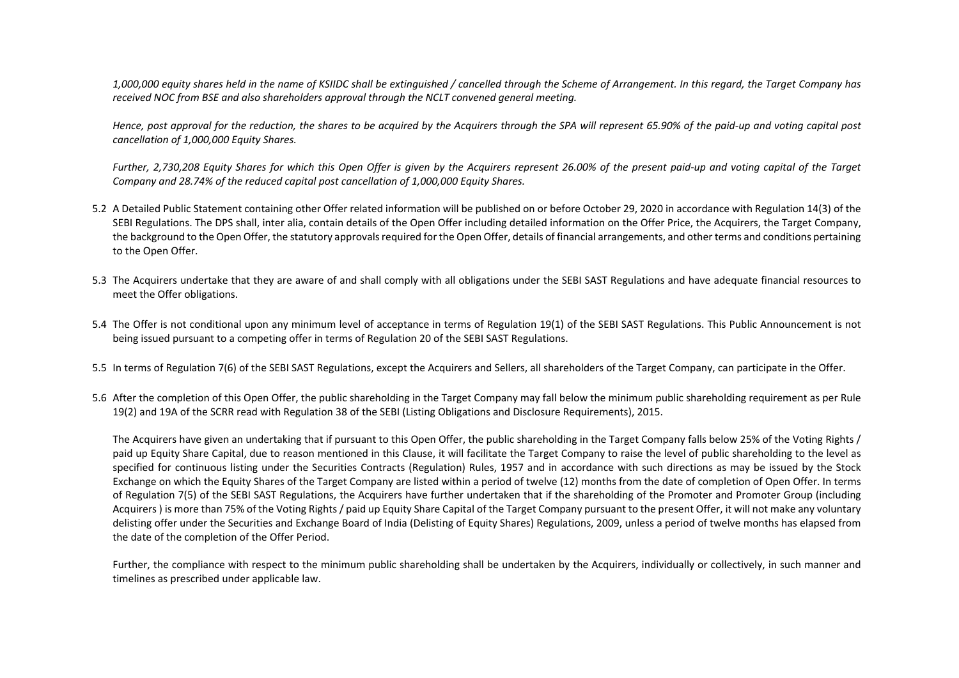*1,000,000 equity shares held in the name of KSIIDC shall be extinguished / cancelled through the Scheme of Arrangement. In this regard, the Target Company has received NOC from BSE and also shareholders approval through the NCLT convened general meeting.* 

*Hence, post approval for the reduction, the shares to be acquired by the Acquirers through the SPA will represent 65.90% of the paid-up and voting capital post cancellation of 1,000,000 Equity Shares.* 

*Further, 2,730,208 Equity Shares for which this Open Offer is given by the Acquirers represent 26.00% of the present paid-up and voting capital of the Target Company and 28.74% of the reduced capital post cancellation of 1,000,000 Equity Shares.*

- 5.2 A Detailed Public Statement containing other Offer related information will be published on or before October 29, 2020 in accordance with Regulation 14(3) of the SEBI Regulations. The DPS shall, inter alia, contain details of the Open Offer including detailed information on the Offer Price, the Acquirers, the Target Company, the background to the Open Offer, the statutory approvals required for the Open Offer, details of financial arrangements, and other terms and conditions pertaining to the Open Offer.
- 5.3 The Acquirers undertake that they are aware of and shall comply with all obligations under the SEBI SAST Regulations and have adequate financial resources to meet the Offer obligations.
- 5.4 The Offer is not conditional upon any minimum level of acceptance in terms of Regulation 19(1) of the SEBI SAST Regulations. This Public Announcement is not being issued pursuant to a competing offer in terms of Regulation 20 of the SEBI SAST Regulations.
- 5.5 In terms of Regulation 7(6) of the SEBI SAST Regulations, except the Acquirers and Sellers, all shareholders of the Target Company, can participate in the Offer.
- 5.6 After the completion of this Open Offer, the public shareholding in the Target Company may fall below the minimum public shareholding requirement as per Rule 19(2) and 19A of the SCRR read with Regulation 38 of the SEBI (Listing Obligations and Disclosure Requirements), 2015.

The Acquirers have given an undertaking that if pursuant to this Open Offer, the public shareholding in the Target Company falls below 25% of the Voting Rights / paid up Equity Share Capital, due to reason mentioned in this Clause, it will facilitate the Target Company to raise the level of public shareholding to the level as specified for continuous listing under the Securities Contracts (Regulation) Rules, 1957 and in accordance with such directions as may be issued by the Stock Exchange on which the Equity Shares of the Target Company are listed within a period of twelve (12) months from the date of completion of Open Offer. In terms of Regulation 7(5) of the SEBI SAST Regulations, the Acquirers have further undertaken that if the shareholding of the Promoter and Promoter Group (including Acquirers ) is more than 75% of the Voting Rights / paid up Equity Share Capital of the Target Company pursuant to the present Offer, it will not make any voluntary delisting offer under the Securities and Exchange Board of India (Delisting of Equity Shares) Regulations, 2009, unless a period of twelve months has elapsed from the date of the completion of the Offer Period.

Further, the compliance with respect to the minimum public shareholding shall be undertaken by the Acquirers, individually or collectively, in such manner and timelines as prescribed under applicable law.